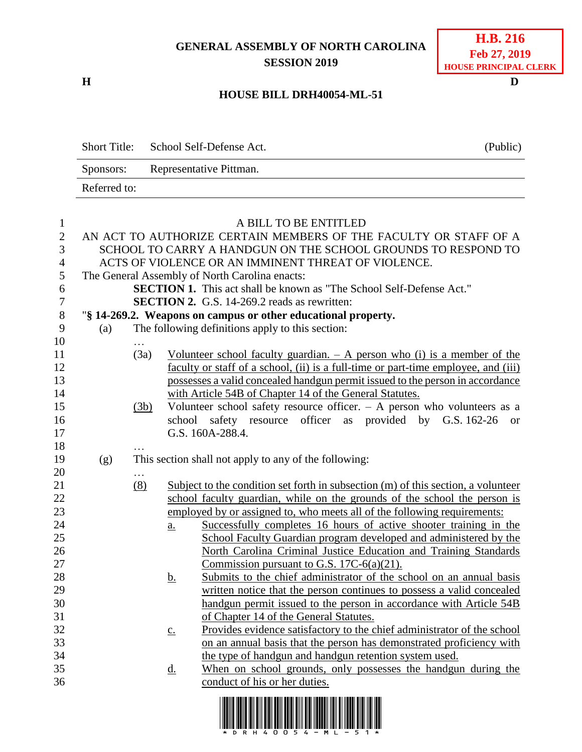## **GENERAL ASSEMBLY OF NORTH CAROLINA SESSION 2019**

**H D**

| <b>H.B. 216</b>       |  |  |  |  |  |
|-----------------------|--|--|--|--|--|
| Feb 27, 2019          |  |  |  |  |  |
| HOUSE PRINCIPAL CLERK |  |  |  |  |  |

## **HOUSE BILL DRH40054-ML-51**

Short Title: School Self-Defense Act. (Public) Sponsors: Representative Pittman. Referred to:

| $\mathbf{1}$     | A BILL TO BE ENTITLED                                            |          |                                                                                   |                                                                                                         |  |  |
|------------------|------------------------------------------------------------------|----------|-----------------------------------------------------------------------------------|---------------------------------------------------------------------------------------------------------|--|--|
| $\mathbf{2}$     | AN ACT TO AUTHORIZE CERTAIN MEMBERS OF THE FACULTY OR STAFF OF A |          |                                                                                   |                                                                                                         |  |  |
| 3                |                                                                  |          |                                                                                   | SCHOOL TO CARRY A HANDGUN ON THE SCHOOL GROUNDS TO RESPOND TO                                           |  |  |
| $\overline{4}$   |                                                                  |          |                                                                                   | ACTS OF VIOLENCE OR AN IMMINENT THREAT OF VIOLENCE.                                                     |  |  |
| 5                |                                                                  |          |                                                                                   | The General Assembly of North Carolina enacts:                                                          |  |  |
| 6                |                                                                  |          |                                                                                   | <b>SECTION 1.</b> This act shall be known as "The School Self-Defense Act."                             |  |  |
| $\boldsymbol{7}$ |                                                                  |          |                                                                                   | <b>SECTION 2.</b> G.S. 14-269.2 reads as rewritten:                                                     |  |  |
| $8\,$            | "§ 14-269.2. Weapons on campus or other educational property.    |          |                                                                                   |                                                                                                         |  |  |
| 9                | (a)                                                              |          |                                                                                   | The following definitions apply to this section:                                                        |  |  |
| 10               |                                                                  |          |                                                                                   |                                                                                                         |  |  |
| 11               |                                                                  | (3a)     | <u>Volunteer</u> school faculty guardian. $-$ A person who (i) is a member of the |                                                                                                         |  |  |
| 12               |                                                                  |          |                                                                                   | faculty or staff of a school, (ii) is a full-time or part-time employee, and (iii)                      |  |  |
| 13               |                                                                  |          | possesses a valid concealed handgun permit issued to the person in accordance     |                                                                                                         |  |  |
| 14               |                                                                  |          | with Article 54B of Chapter 14 of the General Statutes.                           |                                                                                                         |  |  |
| 15               |                                                                  | (3b)     | Volunteer school safety resource officer. - A person who volunteers as a          |                                                                                                         |  |  |
| 16               |                                                                  |          | school safety resource officer as provided by G.S. 162-26<br><b>or</b>            |                                                                                                         |  |  |
| 17               |                                                                  |          | G.S. 160A-288.4.                                                                  |                                                                                                         |  |  |
| 18               |                                                                  |          |                                                                                   |                                                                                                         |  |  |
| 19               | (g)                                                              |          | This section shall not apply to any of the following:                             |                                                                                                         |  |  |
| 20               |                                                                  | $\cdots$ |                                                                                   |                                                                                                         |  |  |
| 21               |                                                                  | (8)      | Subject to the condition set forth in subsection (m) of this section, a volunteer |                                                                                                         |  |  |
| 22               |                                                                  |          | school faculty guardian, while on the grounds of the school the person is         |                                                                                                         |  |  |
| 23               |                                                                  |          |                                                                                   | employed by or assigned to, who meets all of the following requirements:                                |  |  |
| 24               |                                                                  |          | $\underline{a}$ .                                                                 | Successfully completes 16 hours of active shooter training in the                                       |  |  |
| 25               |                                                                  |          |                                                                                   | School Faculty Guardian program developed and administered by the                                       |  |  |
| 26               |                                                                  |          |                                                                                   | North Carolina Criminal Justice Education and Training Standards                                        |  |  |
| 27               |                                                                  |          |                                                                                   | Commission pursuant to G.S. 17C- $6(a)(21)$ .                                                           |  |  |
| 28               |                                                                  |          | <u>b.</u>                                                                         | Submits to the chief administrator of the school on an annual basis                                     |  |  |
| 29               |                                                                  |          |                                                                                   | written notice that the person continues to possess a valid concealed                                   |  |  |
| 30               |                                                                  |          |                                                                                   | handgun permit issued to the person in accordance with Article 54B                                      |  |  |
| 31               |                                                                  |          |                                                                                   | of Chapter 14 of the General Statutes.                                                                  |  |  |
| 32               |                                                                  |          | $\underline{c}$ .                                                                 | Provides evidence satisfactory to the chief administrator of the school                                 |  |  |
| 33               |                                                                  |          |                                                                                   | on an annual basis that the person has demonstrated proficiency with                                    |  |  |
| 34               |                                                                  |          |                                                                                   | the type of handgun and handgun retention system used.                                                  |  |  |
| 35               |                                                                  |          | $\underline{\mathrm{d}}$ .                                                        | When on school grounds, only possesses the handgun during the                                           |  |  |
| 36               |                                                                  |          |                                                                                   | conduct of his or her duties.                                                                           |  |  |
|                  |                                                                  |          |                                                                                   | <u> 1 IEENIE IEENE IEN EIN BIEN BEH EEN EEN EN DIE EIN DE NOEDERIJ IEN EEN DE INDEEL ENEL NEI IEEN </u> |  |  |